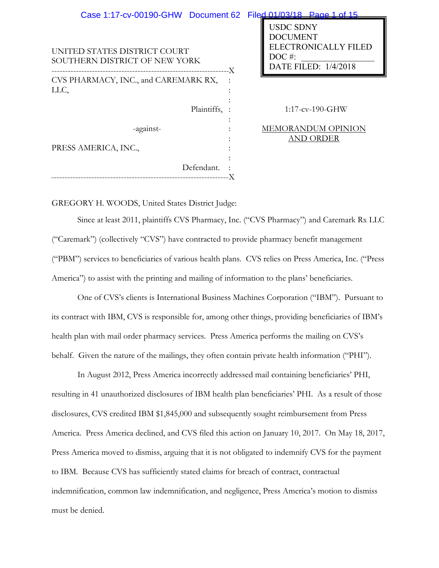| Case 1:17-cv-00190-GHW Document 62 Filed 01/03/18 Page 1 of 15 |                                                                                                        |
|----------------------------------------------------------------|--------------------------------------------------------------------------------------------------------|
| UNITED STATES DISTRICT COURT<br>SOUTHERN DISTRICT OF NEW YORK  | <b>USDC SDNY</b><br><b>DOCUMENT</b><br><b>ELECTRONICALLY FILED</b><br>$DOC$ #:<br>DATE FILED: 1/4/2018 |
| CVS PHARMACY, INC., and CAREMARK RX,                           |                                                                                                        |
| LLC,                                                           |                                                                                                        |
|                                                                |                                                                                                        |
| Plaintiffs, :                                                  | $1:17$ -cv-190-GHW                                                                                     |
| -against-                                                      | MEMORANDUM OPINION                                                                                     |
|                                                                | AND ORDER                                                                                              |
| PRESS AMERICA, INC.,                                           |                                                                                                        |
|                                                                |                                                                                                        |
| Defendant.                                                     |                                                                                                        |
|                                                                |                                                                                                        |

GREGORY H. WOODS, United States District Judge:

Since at least 2011, plaintiffs CVS Pharmacy, Inc. ("CVS Pharmacy") and Caremark Rx LLC ("Caremark") (collectively "CVS") have contracted to provide pharmacy benefit management ("PBM") services to beneficiaries of various health plans. CVS relies on Press America, Inc. ("Press America") to assist with the printing and mailing of information to the plans' beneficiaries.

One of CVS's clients is International Business Machines Corporation ("IBM"). Pursuant to its contract with IBM, CVS is responsible for, among other things, providing beneficiaries of IBM's health plan with mail order pharmacy services. Press America performs the mailing on CVS's behalf. Given the nature of the mailings, they often contain private health information ("PHI").

In August 2012, Press America incorrectly addressed mail containing beneficiaries' PHI, resulting in 41 unauthorized disclosures of IBM health plan beneficiaries' PHI. As a result of those disclosures, CVS credited IBM \$1,845,000 and subsequently sought reimbursement from Press America. Press America declined, and CVS filed this action on January 10, 2017. On May 18, 2017, Press America moved to dismiss, arguing that it is not obligated to indemnify CVS for the payment to IBM. Because CVS has sufficiently stated claims for breach of contract, contractual indemnification, common law indemnification, and negligence, Press America's motion to dismiss must be denied.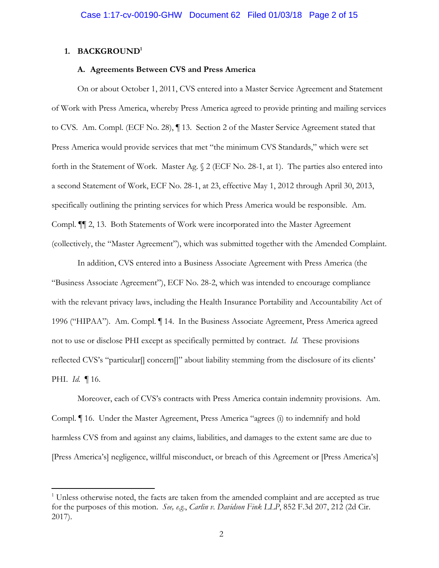### **1. BACKGROUND1**

 $\overline{a}$ 

### **A. Agreements Between CVS and Press America**

On or about October 1, 2011, CVS entered into a Master Service Agreement and Statement of Work with Press America, whereby Press America agreed to provide printing and mailing services to CVS. Am. Compl. (ECF No. 28), ¶ 13. Section 2 of the Master Service Agreement stated that Press America would provide services that met "the minimum CVS Standards," which were set forth in the Statement of Work. Master Ag. § 2 (ECF No. 28-1, at 1). The parties also entered into a second Statement of Work, ECF No. 28-1, at 23, effective May 1, 2012 through April 30, 2013, specifically outlining the printing services for which Press America would be responsible. Am. Compl. *¶¶* 2, 13. Both Statements of Work were incorporated into the Master Agreement (collectively, the "Master Agreement"), which was submitted together with the Amended Complaint.

In addition, CVS entered into a Business Associate Agreement with Press America (the "Business Associate Agreement"), ECF No. 28-2, which was intended to encourage compliance with the relevant privacy laws, including the Health Insurance Portability and Accountability Act of 1996 ("HIPAA"). Am. Compl. ¶ 14. In the Business Associate Agreement, Press America agreed not to use or disclose PHI except as specifically permitted by contract. *Id.* These provisions reflected CVS's "particular] concern[]" about liability stemming from the disclosure of its clients' PHI. *Id.* ¶ 16.

Moreover, each of CVS's contracts with Press America contain indemnity provisions. Am. Compl. ¶ 16. Under the Master Agreement, Press America "agrees (i) to indemnify and hold harmless CVS from and against any claims, liabilities, and damages to the extent same are due to [Press America's] negligence, willful misconduct, or breach of this Agreement or [Press America's]

<sup>&</sup>lt;sup>1</sup> Unless otherwise noted, the facts are taken from the amended complaint and are accepted as true for the purposes of this motion. *See, e.g.*, *Carlin v. Davidson Fink LLP*, 852 F.3d 207, 212 (2d Cir. 2017).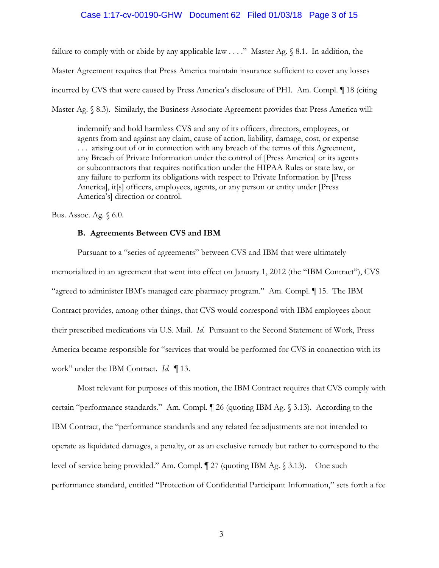## Case 1:17-cv-00190-GHW Document 62 Filed 01/03/18 Page 3 of 15

failure to comply with or abide by any applicable law  $\dots$ ." Master Ag.  $\S$  8.1. In addition, the Master Agreement requires that Press America maintain insurance sufficient to cover any losses incurred by CVS that were caused by Press America's disclosure of PHI. Am. Compl. ¶ 18 (citing Master Ag. § 8.3). Similarly, the Business Associate Agreement provides that Press America will:

indemnify and hold harmless CVS and any of its officers, directors, employees, or agents from and against any claim, cause of action, liability, damage, cost, or expense . . . arising out of or in connection with any breach of the terms of this Agreement, any Breach of Private Information under the control of [Press America] or its agents or subcontractors that requires notification under the HIPAA Rules or state law, or any failure to perform its obligations with respect to Private Information by [Press America], it[s] officers, employees, agents, or any person or entity under [Press America's] direction or control.

Bus. Assoc. Ag. § 6.0.

### **B. Agreements Between CVS and IBM**

Pursuant to a "series of agreements" between CVS and IBM that were ultimately memorialized in an agreement that went into effect on January 1, 2012 (the "IBM Contract"), CVS "agreed to administer IBM's managed care pharmacy program." Am. Compl. ¶ 15. The IBM Contract provides, among other things, that CVS would correspond with IBM employees about their prescribed medications via U.S. Mail. *Id.* Pursuant to the Second Statement of Work, Press America became responsible for "services that would be performed for CVS in connection with its work" under the IBM Contract. *Id.* ¶ 13.

Most relevant for purposes of this motion, the IBM Contract requires that CVS comply with certain "performance standards." Am. Compl. ¶ 26 (quoting IBM Ag. § 3.13). According to the IBM Contract, the "performance standards and any related fee adjustments are not intended to operate as liquidated damages, a penalty, or as an exclusive remedy but rather to correspond to the level of service being provided." Am. Compl. ¶ 27 (quoting IBM Ag. § 3.13). One such performance standard, entitled "Protection of Confidential Participant Information," sets forth a fee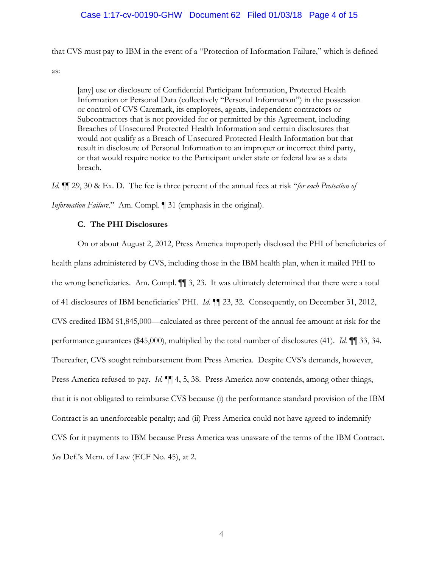# Case 1:17-cv-00190-GHW Document 62 Filed 01/03/18 Page 4 of 15

that CVS must pay to IBM in the event of a "Protection of Information Failure," which is defined

as:

[any] use or disclosure of Confidential Participant Information, Protected Health Information or Personal Data (collectively "Personal Information") in the possession or control of CVS Caremark, its employees, agents, independent contractors or Subcontractors that is not provided for or permitted by this Agreement, including Breaches of Unsecured Protected Health Information and certain disclosures that would not qualify as a Breach of Unsecured Protected Health Information but that result in disclosure of Personal Information to an improper or incorrect third party, or that would require notice to the Participant under state or federal law as a data breach.

*Id.* ¶¶ 29, 30 & Ex. D. The fee is three percent of the annual fees at risk "*for each Protection of Information Failure.*" Am. Compl. 1 31 (emphasis in the original).

## **C. The PHI Disclosures**

On or about August 2, 2012, Press America improperly disclosed the PHI of beneficiaries of health plans administered by CVS, including those in the IBM health plan, when it mailed PHI to the wrong beneficiaries. Am. Compl. ¶¶ 3, 23. It was ultimately determined that there were a total of 41 disclosures of IBM beneficiaries' PHI. *Id.* ¶¶ 23, 32. Consequently, on December 31, 2012, CVS credited IBM \$1,845,000—calculated as three percent of the annual fee amount at risk for the performance guarantees (\$45,000), multiplied by the total number of disclosures (41). *Id.* ¶¶ 33, 34. Thereafter, CVS sought reimbursement from Press America. Despite CVS's demands, however, Press America refused to pay. *Id.*  $\P\P$  4, 5, 38. Press America now contends, among other things, that it is not obligated to reimburse CVS because (i) the performance standard provision of the IBM Contract is an unenforceable penalty; and (ii) Press America could not have agreed to indemnify CVS for it payments to IBM because Press America was unaware of the terms of the IBM Contract. *See* Def.'s Mem. of Law (ECF No. 45), at 2.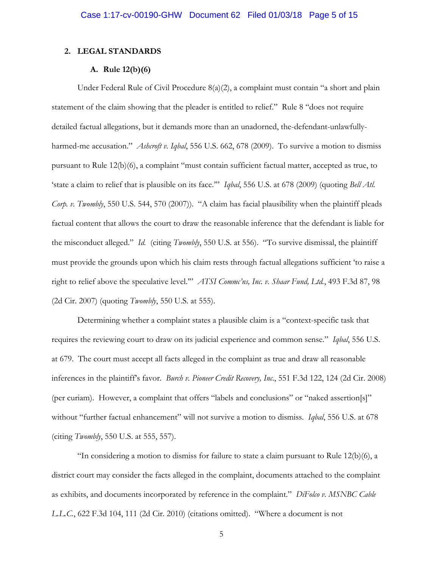## **2. LEGAL STANDARDS**

### **A. Rule 12(b)(6)**

Under Federal Rule of Civil Procedure 8(a)(2), a complaint must contain "a short and plain statement of the claim showing that the pleader is entitled to relief." Rule 8 "does not require detailed factual allegations, but it demands more than an unadorned, the-defendant-unlawfullyharmed-me accusation." *Ashcroft v. Iqbal*, 556 U.S. 662, 678 (2009). To survive a motion to dismiss pursuant to Rule 12(b)(6), a complaint "must contain sufficient factual matter, accepted as true, to 'state a claim to relief that is plausible on its face.'" *Iqbal*, 556 U.S. at 678 (2009) (quoting *Bell Atl. Corp. v. Twombly*, 550 U.S. 544, 570 (2007)). "A claim has facial plausibility when the plaintiff pleads factual content that allows the court to draw the reasonable inference that the defendant is liable for the misconduct alleged." *Id.* (citing *Twombly*, 550 U.S. at 556). "To survive dismissal, the plaintiff must provide the grounds upon which his claim rests through factual allegations sufficient 'to raise a right to relief above the speculative level.'" *ATSI Commc'ns, Inc. v. Shaar Fund, Ltd.*, 493 F.3d 87, 98 (2d Cir. 2007) (quoting *Twombly*, 550 U.S. at 555).

Determining whether a complaint states a plausible claim is a "context-specific task that requires the reviewing court to draw on its judicial experience and common sense." *Iqbal*, 556 U.S. at 679. The court must accept all facts alleged in the complaint as true and draw all reasonable inferences in the plaintiff's favor. *Burch v. Pioneer Credit Recovery, Inc*., 551 F.3d 122, 124 (2d Cir. 2008) (per curiam). However, a complaint that offers "labels and conclusions" or "naked assertion[s]" without "further factual enhancement" will not survive a motion to dismiss. *Iqbal*, 556 U.S. at 678 (citing *Twombly*, 550 U.S. at 555, 557).

"In considering a motion to dismiss for failure to state a claim pursuant to Rule  $12(b)(6)$ , a district court may consider the facts alleged in the complaint, documents attached to the complaint as exhibits, and documents incorporated by reference in the complaint." *DiFolco v. MSNBC Cable L.L.C.*, 622 F.3d 104, 111 (2d Cir. 2010) (citations omitted). "Where a document is not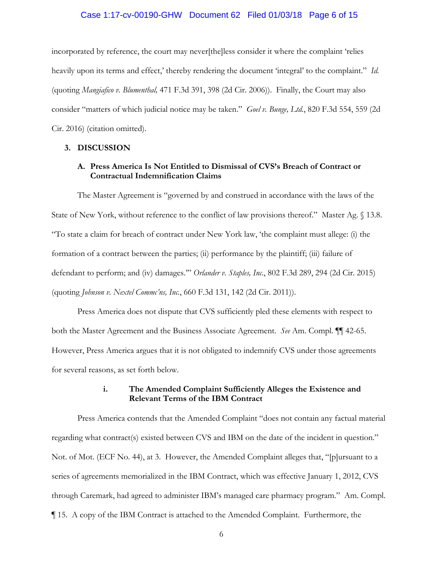### Case 1:17-cv-00190-GHW Document 62 Filed 01/03/18 Page 6 of 15

incorporated by reference, the court may never[the]less consider it where the complaint 'relies heavily upon its terms and effect,' thereby rendering the document 'integral' to the complaint." *Id.* (quoting *Mangiafico v. Blumenthal,* 471 F.3d 391, 398 (2d Cir. 2006)). Finally, the Court may also consider "matters of which judicial notice may be taken." *Goel v. Bunge, Ltd.*, 820 F.3d 554, 559 (2d Cir. 2016) (citation omitted).

#### **3. DISCUSSION**

# **A. Press America Is Not Entitled to Dismissal of CVS's Breach of Contract or Contractual Indemnification Claims**

The Master Agreement is "governed by and construed in accordance with the laws of the State of New York, without reference to the conflict of law provisions thereof." Master Ag. § 13.8. "To state a claim for breach of contract under New York law, 'the complaint must allege: (i) the formation of a contract between the parties; (ii) performance by the plaintiff; (iii) failure of defendant to perform; and (iv) damages.'" *Orlander v. Staples, Inc.*, 802 F.3d 289, 294 (2d Cir. 2015) (quoting *Johnson v. Nextel Commc'ns, Inc.*, 660 F.3d 131, 142 (2d Cir. 2011)).

Press America does not dispute that CVS sufficiently pled these elements with respect to both the Master Agreement and the Business Associate Agreement. *See* Am. Compl. ¶¶ 42-65. However, Press America argues that it is not obligated to indemnify CVS under those agreements for several reasons, as set forth below.

## **i. The Amended Complaint Sufficiently Alleges the Existence and Relevant Terms of the IBM Contract**

Press America contends that the Amended Complaint "does not contain any factual material regarding what contract(s) existed between CVS and IBM on the date of the incident in question." Not. of Mot. (ECF No. 44), at 3. However, the Amended Complaint alleges that, "[p]ursuant to a series of agreements memorialized in the IBM Contract, which was effective January 1, 2012, CVS through Caremark, had agreed to administer IBM's managed care pharmacy program." Am. Compl. ¶ 15. A copy of the IBM Contract is attached to the Amended Complaint. Furthermore, the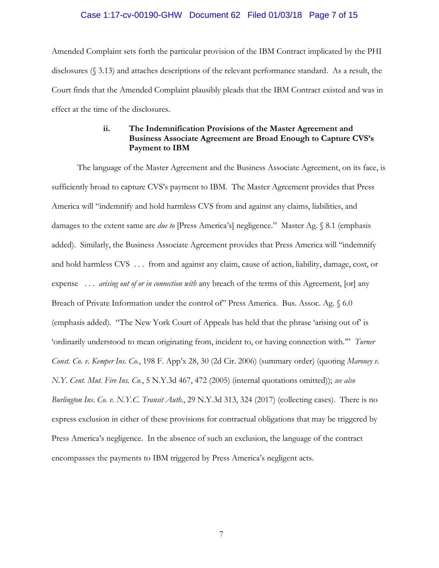## Case 1:17-cv-00190-GHW Document 62 Filed 01/03/18 Page 7 of 15

Amended Complaint sets forth the particular provision of the IBM Contract implicated by the PHI disclosures (§ 3.13) and attaches descriptions of the relevant performance standard. As a result, the Court finds that the Amended Complaint plausibly pleads that the IBM Contract existed and was in effect at the time of the disclosures.

# **ii. The Indemnification Provisions of the Master Agreement and Business Associate Agreement are Broad Enough to Capture CVS's Payment to IBM**

The language of the Master Agreement and the Business Associate Agreement, on its face, is sufficiently broad to capture CVS's payment to IBM. The Master Agreement provides that Press America will "indemnify and hold harmless CVS from and against any claims, liabilities, and damages to the extent same are *due to* [Press America's] negligence." Master Ag. § 8.1 (emphasis added). Similarly, the Business Associate Agreement provides that Press America will "indemnify and hold harmless CVS . . . from and against any claim, cause of action, liability, damage, cost, or expense . . . *arising out of or in connection with* any breach of the terms of this Agreement, [or] any Breach of Private Information under the control of" Press America. Bus. Assoc. Ag. § 6.0 (emphasis added). "The New York Court of Appeals has held that the phrase 'arising out of' is 'ordinarily understood to mean originating from, incident to, or having connection with.'" *Turner Const. Co. v. Kemper Ins. Co.*, 198 F. App'x 28, 30 (2d Cir. 2006) (summary order) (quoting *Maroney v. N.Y. Cent. Mut. Fire Ins. Co.*, 5 N.Y.3d 467, 472 (2005) (internal quotations omitted)); *see also Burlington Ins. Co. v. N.Y.C. Transit Auth.*, 29 N.Y.3d 313, 324 (2017) (collecting cases).There is no express exclusion in either of these provisions for contractual obligations that may be triggered by Press America's negligence. In the absence of such an exclusion, the language of the contract encompasses the payments to IBM triggered by Press America's negligent acts.

7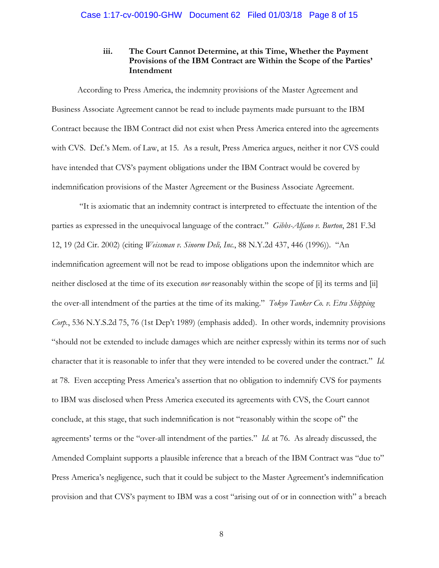# **iii. The Court Cannot Determine, at this Time, Whether the Payment Provisions of the IBM Contract are Within the Scope of the Parties' Intendment**

According to Press America, the indemnity provisions of the Master Agreement and Business Associate Agreement cannot be read to include payments made pursuant to the IBM Contract because the IBM Contract did not exist when Press America entered into the agreements with CVS. Def.'s Mem. of Law, at 15. As a result, Press America argues, neither it nor CVS could have intended that CVS's payment obligations under the IBM Contract would be covered by indemnification provisions of the Master Agreement or the Business Associate Agreement.

 "It is axiomatic that an indemnity contract is interpreted to effectuate the intention of the parties as expressed in the unequivocal language of the contract." *Gibbs-Alfano v. Burton*, 281 F.3d 12, 19 (2d Cir. 2002) (citing *Weissman v. Sinorm Deli, Inc.*, 88 N.Y.2d 437, 446 (1996)). "An indemnification agreement will not be read to impose obligations upon the indemnitor which are neither disclosed at the time of its execution *nor* reasonably within the scope of [i] its terms and [ii] the over-all intendment of the parties at the time of its making." *Tokyo Tanker Co. v. Etra Shipping Corp.*, 536 N.Y.S.2d 75, 76 (1st Dep't 1989) (emphasis added). In other words, indemnity provisions "should not be extended to include damages which are neither expressly within its terms nor of such character that it is reasonable to infer that they were intended to be covered under the contract." *Id.* at 78. Even accepting Press America's assertion that no obligation to indemnify CVS for payments to IBM was disclosed when Press America executed its agreements with CVS, the Court cannot conclude, at this stage, that such indemnification is not "reasonably within the scope of" the agreements' terms or the "over-all intendment of the parties." *Id.* at 76. As already discussed, the Amended Complaint supports a plausible inference that a breach of the IBM Contract was "due to" Press America's negligence, such that it could be subject to the Master Agreement's indemnification provision and that CVS's payment to IBM was a cost "arising out of or in connection with" a breach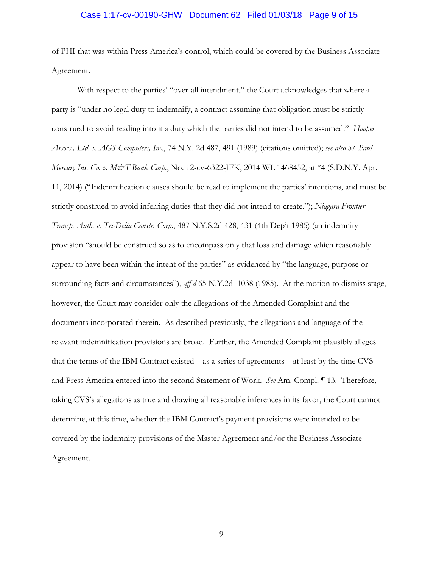### Case 1:17-cv-00190-GHW Document 62 Filed 01/03/18 Page 9 of 15

of PHI that was within Press America's control, which could be covered by the Business Associate Agreement.

With respect to the parties' "over-all intendment," the Court acknowledges that where a party is "under no legal duty to indemnify, a contract assuming that obligation must be strictly construed to avoid reading into it a duty which the parties did not intend to be assumed." *Hooper Assocs., Ltd. v. AGS Computers, Inc.*, 74 N.Y. 2d 487, 491 (1989) (citations omitted); *see also St. Paul Mercury Ins. Co. v. M&T Bank Corp.*, No. 12-cv-6322-JFK, 2014 WL 1468452, at \*4 (S.D.N.Y. Apr. 11, 2014) ("Indemnification clauses should be read to implement the parties' intentions, and must be strictly construed to avoid inferring duties that they did not intend to create."); *Niagara Frontier Transp. Auth. v. Tri-Delta Constr. Corp.*, 487 N.Y.S.2d 428, 431 (4th Dep't 1985) (an indemnity provision "should be construed so as to encompass only that loss and damage which reasonably appear to have been within the intent of the parties" as evidenced by "the language, purpose or surrounding facts and circumstances"), *aff'd* 65 N.Y.2d 1038 (1985). At the motion to dismiss stage, however, the Court may consider only the allegations of the Amended Complaint and the documents incorporated therein. As described previously, the allegations and language of the relevant indemnification provisions are broad. Further, the Amended Complaint plausibly alleges that the terms of the IBM Contract existed—as a series of agreements—at least by the time CVS and Press America entered into the second Statement of Work. *See* Am. Compl. ¶ 13. Therefore, taking CVS's allegations as true and drawing all reasonable inferences in its favor, the Court cannot determine, at this time, whether the IBM Contract's payment provisions were intended to be covered by the indemnity provisions of the Master Agreement and/or the Business Associate Agreement.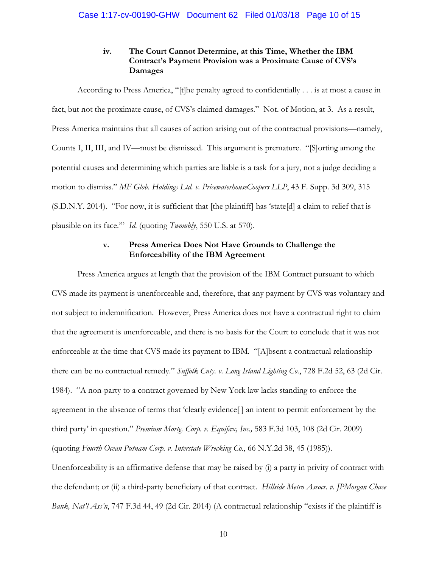# **iv. The Court Cannot Determine, at this Time, Whether the IBM Contract's Payment Provision was a Proximate Cause of CVS's Damages**

According to Press America, "[t]he penalty agreed to confidentially . . . is at most a cause in fact, but not the proximate cause, of CVS's claimed damages." Not. of Motion, at 3. As a result, Press America maintains that all causes of action arising out of the contractual provisions—namely, Counts I, II, III, and IV—must be dismissed. This argument is premature. "[S]orting among the potential causes and determining which parties are liable is a task for a jury, not a judge deciding a motion to dismiss." *MF Glob. Holdings Ltd. v. PricewaterhouseCoopers LLP*, 43 F. Supp. 3d 309, 315 (S.D.N.Y. 2014). "For now, it is sufficient that [the plaintiff] has 'state[d] a claim to relief that is plausible on its face.'" *Id.* (quoting *Twombly*, 550 U.S. at 570).

# **v. Press America Does Not Have Grounds to Challenge the Enforceability of the IBM Agreement**

Press America argues at length that the provision of the IBM Contract pursuant to which CVS made its payment is unenforceable and, therefore, that any payment by CVS was voluntary and not subject to indemnification. However, Press America does not have a contractual right to claim that the agreement is unenforceable, and there is no basis for the Court to conclude that it was not enforceable at the time that CVS made its payment to IBM. "[A]bsent a contractual relationship there can be no contractual remedy." *Suffolk Cnty. v. Long Island Lighting Co.*, 728 F.2d 52, 63 (2d Cir. 1984). "A non-party to a contract governed by New York law lacks standing to enforce the agreement in the absence of terms that 'clearly evidence[ ] an intent to permit enforcement by the third party' in question." *Premium Mortg. Corp. v. Equifax, Inc.,* 583 F.3d 103, 108 (2d Cir. 2009) (quoting *Fourth Ocean Putnam Corp. v. Interstate Wrecking Co.*, 66 N.Y.2d 38, 45 (1985)). Unenforceability is an affirmative defense that may be raised by (i) a party in privity of contract with

the defendant; or (ii) a third-party beneficiary of that contract. *Hillside Metro Assocs. v. JPMorgan Chase Bank, Nat'l Ass'n*, 747 F.3d 44, 49 (2d Cir. 2014) (A contractual relationship "exists if the plaintiff is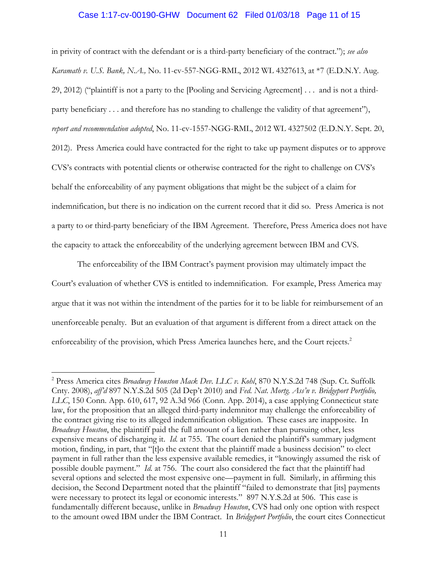### Case 1:17-cv-00190-GHW Document 62 Filed 01/03/18 Page 11 of 15

in privity of contract with the defendant or is a third-party beneficiary of the contract."); *see also Karamath v. U.S. Bank, N.A.,* No. 11-cv-557-NGG-RML, 2012 WL 4327613, at \*7 (E.D.N.Y. Aug. 29, 2012) ("plaintiff is not a party to the [Pooling and Servicing Agreement] . . . and is not a thirdparty beneficiary . . . and therefore has no standing to challenge the validity of that agreement"), *report and recommendation adopted*, No. 11-cv-1557-NGG-RML, 2012 WL 4327502 (E.D.N.Y. Sept. 20, 2012). Press America could have contracted for the right to take up payment disputes or to approve CVS's contracts with potential clients or otherwise contracted for the right to challenge on CVS's behalf the enforceability of any payment obligations that might be the subject of a claim for indemnification, but there is no indication on the current record that it did so. Press America is not a party to or third-party beneficiary of the IBM Agreement. Therefore, Press America does not have the capacity to attack the enforceability of the underlying agreement between IBM and CVS.

The enforceability of the IBM Contract's payment provision may ultimately impact the Court's evaluation of whether CVS is entitled to indemnification. For example, Press America may argue that it was not within the intendment of the parties for it to be liable for reimbursement of an unenforceable penalty. But an evaluation of that argument is different from a direct attack on the enforceability of the provision, which Press America launches here, and the Court rejects.<sup>2</sup>

 $\overline{a}$ 

<sup>&</sup>lt;sup>2</sup> Press America cites *Broadway Houston Mack Dev. LLC v. Kohl*, 870 N.Y.S.2d 748 (Sup. Ct. Suffolk Cnty. 2008), *aff'd* 897 N.Y.S.2d 505 (2d Dep't 2010) and *Fed. Nat. Mortg. Ass'n v. Bridgeport Portfolio, LLC*, 150 Conn. App. 610, 617, 92 A.3d 966 (Conn. App. 2014), a case applying Connecticut state law, for the proposition that an alleged third-party indemnitor may challenge the enforceability of the contract giving rise to its alleged indemnification obligation. These cases are inapposite. In *Broadway Houston*, the plaintiff paid the full amount of a lien rather than pursuing other, less expensive means of discharging it. *Id.* at 755. The court denied the plaintiff's summary judgment motion, finding, in part, that "[t]o the extent that the plaintiff made a business decision" to elect payment in full rather than the less expensive available remedies, it "knowingly assumed the risk of possible double payment." *Id.* at 756. The court also considered the fact that the plaintiff had several options and selected the most expensive one—payment in full. Similarly, in affirming this decision, the Second Department noted that the plaintiff "failed to demonstrate that [its] payments were necessary to protect its legal or economic interests." 897 N.Y.S.2d at 506. This case is fundamentally different because, unlike in *Broadway Houston*, CVS had only one option with respect to the amount owed IBM under the IBM Contract. In *Bridgeport Portfolio*, the court cites Connecticut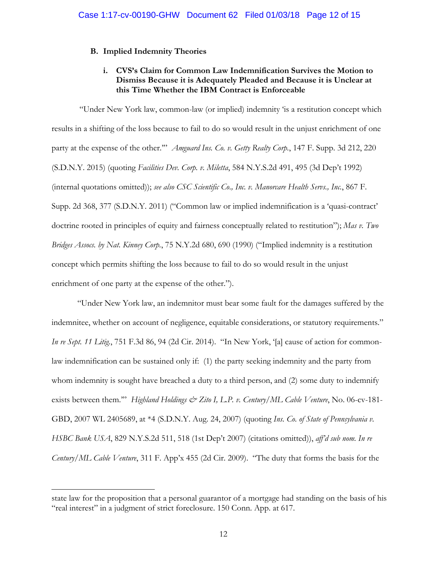# **B. Implied Indemnity Theories**

# **i. CVS's Claim for Common Law Indemnification Survives the Motion to Dismiss Because it is Adequately Pleaded and Because it is Unclear at this Time Whether the IBM Contract is Enforceable**

 "Under New York law, common-law (or implied) indemnity 'is a restitution concept which results in a shifting of the loss because to fail to do so would result in the unjust enrichment of one party at the expense of the other.'" *Amguard Ins. Co. v. Getty Realty Corp.*, 147 F. Supp. 3d 212, 220 (S.D.N.Y. 2015) (quoting *Facilities Dev. Corp. v. Miletta*, 584 N.Y.S.2d 491, 495 (3d Dep't 1992) (internal quotations omitted)); *see also CSC Scientific Co., Inc. v. Manorcare Health Servs., Inc.*, 867 F. Supp. 2d 368, 377 (S.D.N.Y. 2011) ("Common law or implied indemnification is a 'quasi-contract' doctrine rooted in principles of equity and fairness conceptually related to restitution"); *Mas v. Two Bridges Assocs. by Nat. Kinney Corp.*, 75 N.Y.2d 680, 690 (1990) ("Implied indemnity is a restitution concept which permits shifting the loss because to fail to do so would result in the unjust enrichment of one party at the expense of the other.").

"Under New York law, an indemnitor must bear some fault for the damages suffered by the indemnitee, whether on account of negligence, equitable considerations, or statutory requirements." *In re Sept. 11 Litig.*, 751 F.3d 86, 94 (2d Cir. 2014). "In New York, '[a] cause of action for commonlaw indemnification can be sustained only if: (1) the party seeking indemnity and the party from whom indemnity is sought have breached a duty to a third person, and (2) some duty to indemnify exists between them."" *Highland Holdings & Zito I, L.P. v. Century*/ML Cable Venture, No. 06-cv-181-GBD, 2007 WL 2405689, at \*4 (S.D.N.Y. Aug. 24, 2007) (quoting *Ins. Co. of State of Pennsylvania v. HSBC Bank USA*, 829 N.Y.S.2d 511, 518 (1st Dep't 2007) (citations omitted)), *aff'd sub nom. In re Century/ML Cable Venture*, 311 F. App'x 455 (2d Cir. 2009). "The duty that forms the basis for the

 $\overline{a}$ 

state law for the proposition that a personal guarantor of a mortgage had standing on the basis of his "real interest" in a judgment of strict foreclosure. 150 Conn. App. at 617.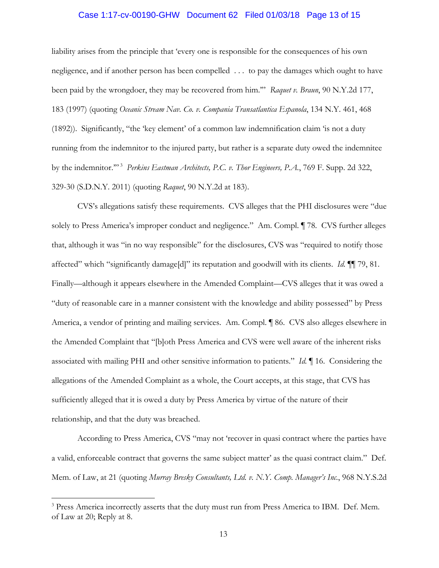#### Case 1:17-cv-00190-GHW Document 62 Filed 01/03/18 Page 13 of 15

liability arises from the principle that 'every one is responsible for the consequences of his own negligence, and if another person has been compelled . . . to pay the damages which ought to have been paid by the wrongdoer, they may be recovered from him.'" *Raquet v. Braun*, 90 N.Y.2d 177, 183 (1997) (quoting *Oceanic Stream Nav. Co. v. Compania Transatlantica Espanola*, 134 N.Y. 461, 468 (1892)). Significantly, "the 'key element' of a common law indemnification claim 'is not a duty running from the indemnitor to the injured party, but rather is a separate duty owed the indemnitee by the indemnitor."<sup>3</sup> *Perkins Eastman Architects, P.C. v. Thor Engineers, P.A.*, 769 F. Supp. 2d 322, 329-30 (S.D.N.Y. 2011) (quoting *Raquet*, 90 N.Y.2d at 183).

CVS's allegations satisfy these requirements. CVS alleges that the PHI disclosures were "due solely to Press America's improper conduct and negligence." Am. Compl. ¶ 78. CVS further alleges that, although it was "in no way responsible" for the disclosures, CVS was "required to notify those affected" which "significantly damage[d]" its reputation and goodwill with its clients. *Id.* ¶¶ 79, 81. Finally—although it appears elsewhere in the Amended Complaint—CVS alleges that it was owed a "duty of reasonable care in a manner consistent with the knowledge and ability possessed" by Press America, a vendor of printing and mailing services. Am. Compl. ¶ 86. CVS also alleges elsewhere in the Amended Complaint that "[b]oth Press America and CVS were well aware of the inherent risks associated with mailing PHI and other sensitive information to patients." *Id.* ¶ 16. Considering the allegations of the Amended Complaint as a whole, the Court accepts, at this stage, that CVS has sufficiently alleged that it is owed a duty by Press America by virtue of the nature of their relationship, and that the duty was breached.

According to Press America, CVS "may not 'recover in quasi contract where the parties have a valid, enforceable contract that governs the same subject matter' as the quasi contract claim." Def. Mem. of Law, at 21 (quoting *Murray Bresky Consultants, Ltd. v. N.Y. Comp. Manager's Inc.*, 968 N.Y.S.2d

 $\overline{a}$ 

<sup>&</sup>lt;sup>3</sup> Press America incorrectly asserts that the duty must run from Press America to IBM. Def. Mem. of Law at 20; Reply at 8.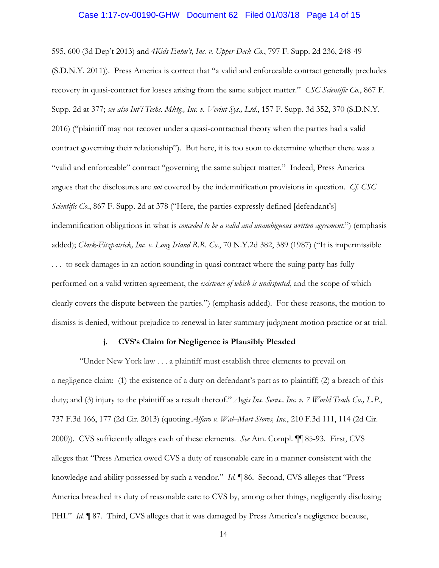#### Case 1:17-cv-00190-GHW Document 62 Filed 01/03/18 Page 14 of 15

595, 600 (3d Dep't 2013) and *4Kids Entm't, Inc. v. Upper Deck Co.*, 797 F. Supp. 2d 236, 248-49 (S.D.N.Y. 2011)). Press America is correct that "a valid and enforceable contract generally precludes recovery in quasi-contract for losses arising from the same subject matter." *CSC Scientific Co.*, 867 F. Supp. 2d at 377; *see also Int'l Techs. Mktg., Inc. v. Verint Sys., Ltd.*, 157 F. Supp. 3d 352, 370 (S.D.N.Y. 2016) ("plaintiff may not recover under a quasi-contractual theory when the parties had a valid contract governing their relationship"). But here, it is too soon to determine whether there was a "valid and enforceable" contract "governing the same subject matter." Indeed, Press America argues that the disclosures are *not* covered by the indemnification provisions in question. *Cf. CSC Scientific Co.*, 867 F. Supp. 2d at 378 ("Here, the parties expressly defined [defendant's] indemnification obligations in what is *conceded to be a valid and unambiguous written agreement*.") (emphasis added); *Clark-Fitzpatrick, Inc. v. Long Island R.R. Co.*, 70 N.Y.2d 382, 389 (1987) ("It is impermissible . . . to seek damages in an action sounding in quasi contract where the suing party has fully performed on a valid written agreement, the *existence of which is undisputed*, and the scope of which clearly covers the dispute between the parties.") (emphasis added). For these reasons, the motion to dismiss is denied, without prejudice to renewal in later summary judgment motion practice or at trial.

#### **j. CVS's Claim for Negligence is Plausibly Pleaded**

 "Under New York law . . . a plaintiff must establish three elements to prevail on a negligence claim: (1) the existence of a duty on defendant's part as to plaintiff; (2) a breach of this duty; and (3) injury to the plaintiff as a result thereof." *Aegis Ins. Servs., Inc. v. 7 World Trade Co., L.P.*, 737 F.3d 166, 177 (2d Cir. 2013) (quoting *Alfaro v. Wal–Mart Stores, Inc.*, 210 F.3d 111, 114 (2d Cir. 2000)). CVS sufficiently alleges each of these elements. *See* Am. Compl. ¶¶ 85-93. First, CVS alleges that "Press America owed CVS a duty of reasonable care in a manner consistent with the knowledge and ability possessed by such a vendor." *Id.* ¶ 86. Second, CVS alleges that "Press America breached its duty of reasonable care to CVS by, among other things, negligently disclosing PHI." *Id.* ¶ 87. Third, CVS alleges that it was damaged by Press America's negligence because,